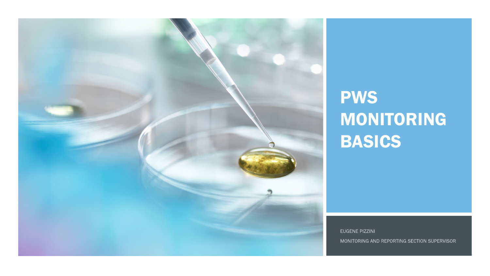

# PWS MONITORING BASICS

EUGENE PIZZINI

MONITORING AND REPORTING SECTION SUPERVISOR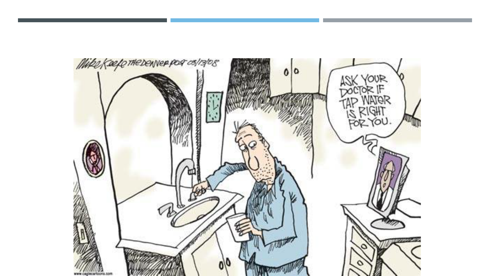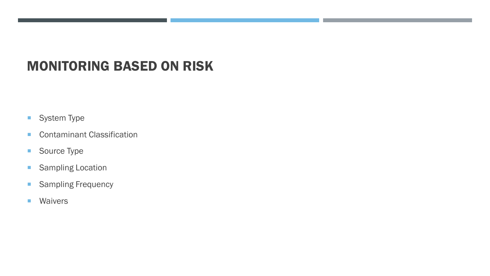## MONITORING BASED ON RISK

- System Type
- **Contaminant Classification**
- Source Type
- **Sampling Location**
- **Sampling Frequency**
- **Naivers**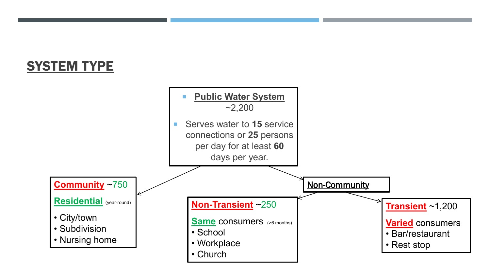#### SYSTEM TYPE

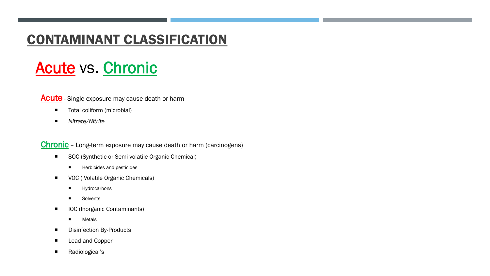## CONTAMINANT CLASSIFICATION

# Acute vs. Chronic

**Acute** - Single exposure may cause death or harm

- Total coliform (microbial)
- *Nitrate/Nitrite*

Chronic - Long-term exposure may cause death or harm (carcinogens)

- SOC (Synthetic or Semi volatile Organic Chemical)
	- **EXECUTE:** Herbicides and pesticides
- VOC ( Volatile Organic Chemicals)
	- **Hydrocarbons**
	- **Solvents**
- IOC (Inorganic Contaminants)
	- **Metals**
- **Disinfection By-Products**
- Lead and Copper
- Radiological's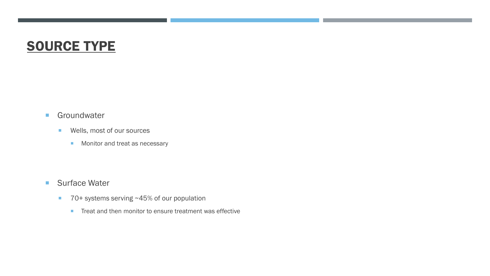### SOURCE TYPE

**Groundwater** 

- **Wells, most of our sources** 
	- **Monitor and treat as necessary**

- **Surface Water** 
	- 70+ systems serving ~45% of our population
		- Treat and then monitor to ensure treatment was effective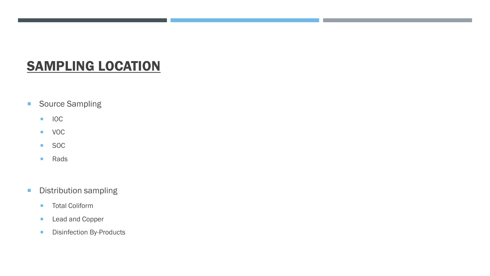## **SAMPLING LOCATION**

- Source Sampling
	- **IOC**
	- **NOC**
	- SOC
	- **Rads**
- **Distribution sampling** 
	- **Total Coliform**
	- **Lead and Copper**
	- **Disinfection By-Products**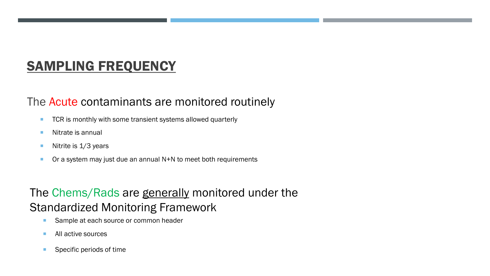## SAMPLING FREQUENCY

#### The Acute contaminants are monitored routinely

- TCR is monthly with some transient systems allowed quarterly
- **Nitrate is annual**
- $\blacksquare$  Nitrite is 1/3 years
- $\blacksquare$  Or a system may just due an annual N+N to meet both requirements

#### The Chems/Rads are generally monitored under the Standardized Monitoring Framework

- Sample at each source or common header
- **All active sources**
- Specific periods of time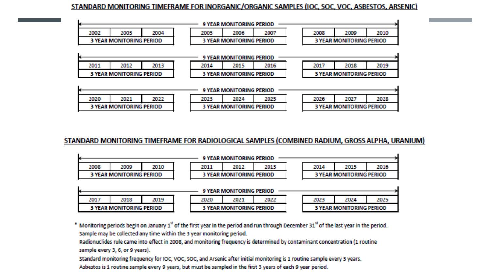#### STANDARD MONITORING TIMEFRAME FOR INORGANIC/ORGANIC SAMPLES (IOC, SOC, VOC, ASBESTOS, ARSENIC)



#### STANDARD MONITORING TIMEFRAME FOR RADIOLOGICAL SAMPLES (COMBINED RADIUM, GROSS ALPHA, URANIUM)

| ы<br><b>9 YEAR MONITORING PERIOD</b> |      |      |      |                                 |      |      |                                 |      |  |
|--------------------------------------|------|------|------|---------------------------------|------|------|---------------------------------|------|--|
| 2008                                 | 2009 | 2010 | 2011 | 2012                            | 2013 | 2014 | 2015                            | 2016 |  |
| <b>3 YEAR MONITORING PERIOD</b>      |      |      |      | <b>3 YEAR MONITORING PERIOD</b> |      |      | <b>3 YEAR MONITORING PERIOD</b> |      |  |
| <b>9 YEAR MONITORING PERIOD</b>      |      |      |      |                                 |      |      |                                 |      |  |
| 2017                                 | 2018 | 2019 | 2020 | 2021                            | 2022 | 2023 | 2024                            | 2025 |  |
| <b>3 YEAR MONITORING PERIOD</b>      |      |      |      | <b>3 YEAR MONITORING PERIOD</b> |      |      | <b>3 YEAR MONITORING PERIOD</b> |      |  |

\* Monitoring periods begin on January 1<sup>st</sup> of the first year in the period and run through December 31<sup>st</sup> of the last year in the period. Sample may be collected any time within the 3 year monitoring period.

Radionuclides rule came into effect in 2008, and monitoring frequency is determined by contaminant concentration (1 routine sample every 3, 6, or 9 years).

Standard monitoring frequency for IOC, VOC, SOC, and Arsenic after initial monitoring is 1 routine sample every 3 years. Asbestos is 1 routine sample every 9 years, but must be sampled in the first 3 years of each 9 year period.